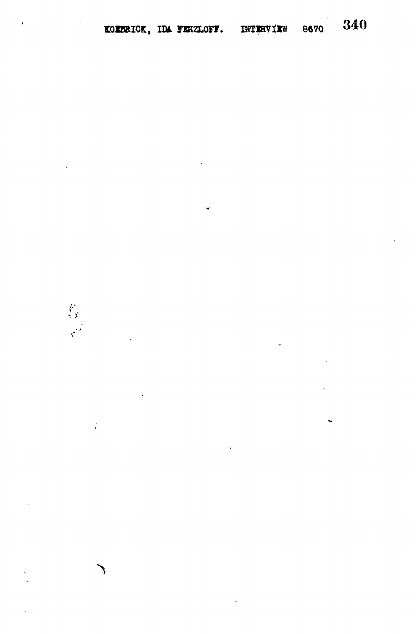## **KORBRICK, IDA FEWZLOFF.** IHTERVIEW 8670 340

 $\ddot{\cdot}$ 

۱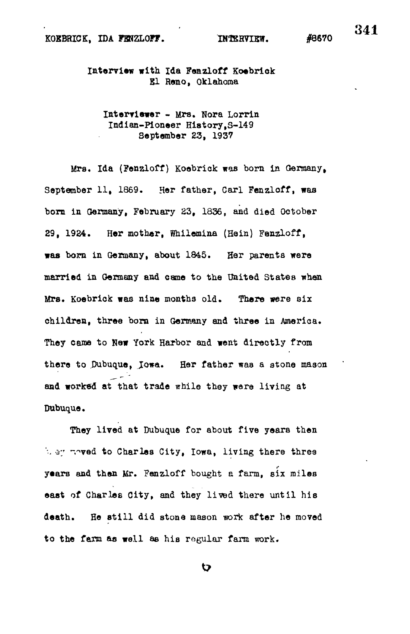## Interview with Ida Feazloff Koebrick Si Reno, Oklahoma

Interviewer - Mrs. Nora Lorrin Indian-Pioneer History,S-149 September 23, 1937

Mrs. Ida (Fenzloff) Koobrick was born in Germany, September 11, 1869. Her father, Carl Fenzloff, was born in Germany, February 23, 1836, and died October 29, 1924. Her mother, Whilemina (Hein) Fenzloff, was born in Germany, about 1845. Her parents were married in Germany and came to the United States when Mrs. Koebriok was nine months old. There were six children, three born in Germany and three in America. They came to New York Harbor and went directly from there to Dubuque, Jowe. Her father was a stone mason and worked at that trade while they were living at Dubuque.

They lived at Dubuque for about five years then 1. ey moved to Charles City, Iowa, living there three years and then Mr. Fenzloff bought a farm, six miles east of Charles City, and they lived there until his death. He still did stone mason work after he moved to the farm as well as his regular farm work.

り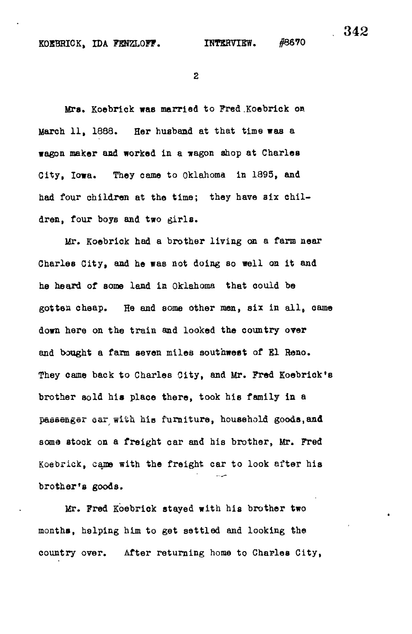342

 $\overline{2}$ 

Mrs. Koebrick was married to Fred.Koebrick on March 11, 1888. Her husband at that time was a wagon maker and worked in a wagon shop at Charles City, Iowa. They came to Oklahoma in 1895, and had four children at the time; they have six children, four boys and two girls.

Mr. Koebrick had a brother living on a farm near Charles City, and he was not doing so well on it and he heard of some land in Oklahoma that could be gottea cheap. He and some other men, six in all, came down here on the train and looked the country over and bought a farm seven miles southwest of El Reno. They came back to Charles City, and Mr. Fred Koebrick's brother sold his place there, took his family in a passenger car with his furniture, household goods, and some stock on a freight car and his brother, Mr. Fred Koebrick, came with the freight car to look after his brother's goods.

Kr. Fred Koebrick stayed with his brother two months, helping him to get settled and looking the country over. After returning home to Charles City,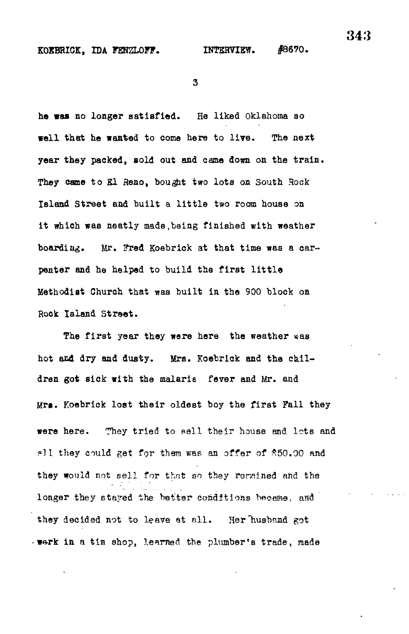KOKBRICK, IDA FENZLOFF. INTERVIEW. #8670.

 $\mathbf{3}$ 

he was no longer satisfied. He liked Oklahoma so well that he wanted to come here to live. The next year they packed, sold out and came down on the train. They came to El Reno, bought two lots on South Rock Island Street and built a little two room house on it which was neatly made,being finished with weather boarding. Mr. Fred Koebrick at that time was a carpenter and he helped to build the first little Methodist Church that was built in the 900 block on Rook Island Street.

The first year they were here the weather was hot and dry and dusty. Mrs. Koebrick and the children got sick with the malarie fever and Mr. and Mrs. Koebrick lost their oldest boy the first Fall they were here. They tried to sell their house and lots and ?! I they could get for them was an offer of \$50.00 and they would not sell for that so they renained and the longer they stayed the better conditions became, and they decided not to leave at all. Her husband got  $\sqrt{s}$  and  $\frac{1}{2}$  shop, learned the plumber's trade, made

343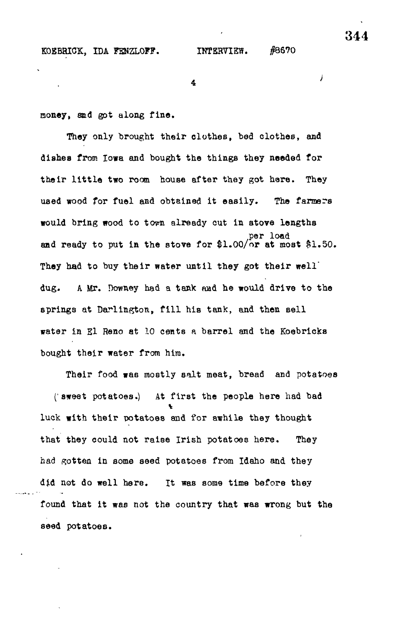KOEBRICK, IDA FENZLOFF. INTERVIEW. #8670

J

4

money, and got along fine.

They only brought their clothes, bed clothes, and dishes from Iowa and bought the things they needed for their little two room house after they got here. They uaed wood for fuel and obtained it easily. The farmers would bring wood to town already cut in atove lengths per load and ready to put in the stove for \$1.00/or at most \$1.50. They had to buy their water until they got their well' dug. A Mr. Downey had a tank aad he would drive to the springs at Darlington, fill his tank, and then sell water in El Reno at 10 cents a barrel and the Koebricks bought their water from him.

Their food was mostly salt meat, bread and potatoes (sweet potatoes.) At first the people here had bad luck with their potatoes and for awhile they thought that they could not raise Irish potatoes here. They had gotten in some seed potatoes from Idaho and they did not do well here. It was some time before they found that it was not the country that was wrong but the seed potatoes.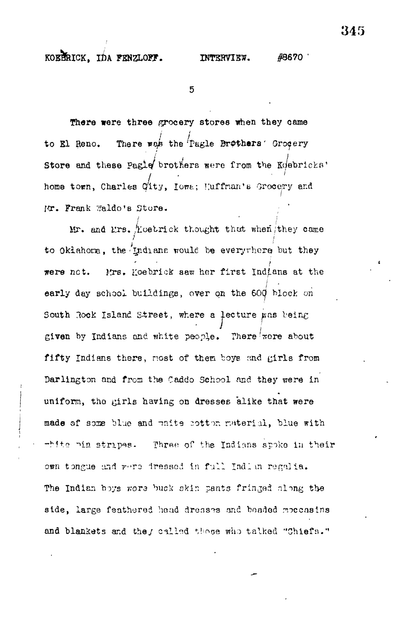5

There were three grocery stores when they came j / / / to El Reno. to El Reno. There *vop* the'Tagle Brothers' Grocery  $\frac{1}{\sqrt{2}}$  brothers were from the Kc/ebrick field  $\frac{1}{\sqrt{2}}$ home town,  $\frac{1}{2}$  owe-.; j;uffinant and  $\frac{1}{2}$  $\frac{1}{\sqrt{2}}$ 

Mr. and Ers. Loetrick thought that when they came to Okiahoma, the Indiana would be everywhere but they to  $\mathcal{L}$  to  $\mathcal{L}$  the every respect to  $\mathcal{L}$  the every respect to  $\mathcal{L}$ vrere net. J!rs, Koebrick saw her first Indians at the early day school buildings, over on the 60 $\phi$  block on South Rock Island Street, where a lecture  $\mu$ as being given by Indians and white people. There were about fifty Indians there, nost of them boys and girls from Darlington and from the Caddo School and they were in uniform, tho girls having on dresses alike that were made of some blue and unite cotton naterial, blue with "the pin stripes. Three of the Indians spoke in their own tongue and *rare* dressed in full Indian regalia. The Indian boys wore buck skin pants fringed along the side, large feathered hoad dresses and bended moccasins and blankets and they called those who talked "Chiefa."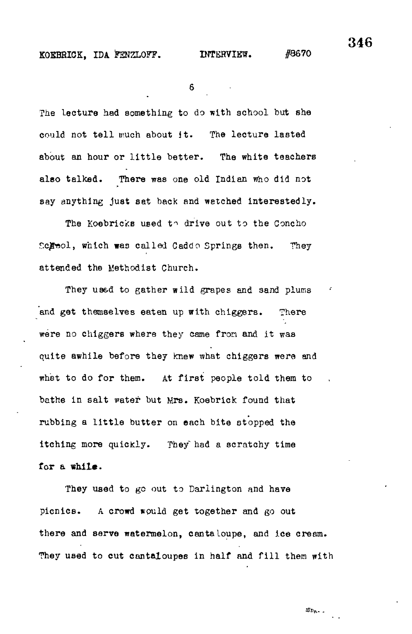346

6

The lecture had something to do with school but she could not tell much about it. The lecture lasted about an hour or little better. The white teachers also talked. There was one old Indian who did not say anything just sat back and watched interestedly.

r.c£»ol, which was called Caddo Springs then. They

say anything just sat back and watched interestedly.

They used to gather wild grapes and sand plums and get themselves eaten up with chiggers. There and get the model with chiggers. The model with chiggers. The model with chiggers. There is a contract of  $\alpha$ were no chiggers where they came from and it was were no chiggers where they came from an and it was they came from an and it was they came from an quite awhile before they knew what chiggers were and what to do for them. At first people told them to bathe in salt water but Mrs. Koebrick found that bathe in salt water but Mrs. Koebrick found that rubbing a little butter on each bite stopped the itching more quickly. They had a scratchy time for a while.

They used to go out to Darlington and have picnics. A crowd would get together and go out there and serve watermelon, cantaloupe, and ice cream. there and serve watermelon, cantaloupe, and ice cream. They used to cut cantaloupes in half and fill them with

They used to cut can take the main  $\mathcal{L}_\mathcal{A}$  and fill them with an and fill them with an and fill them with